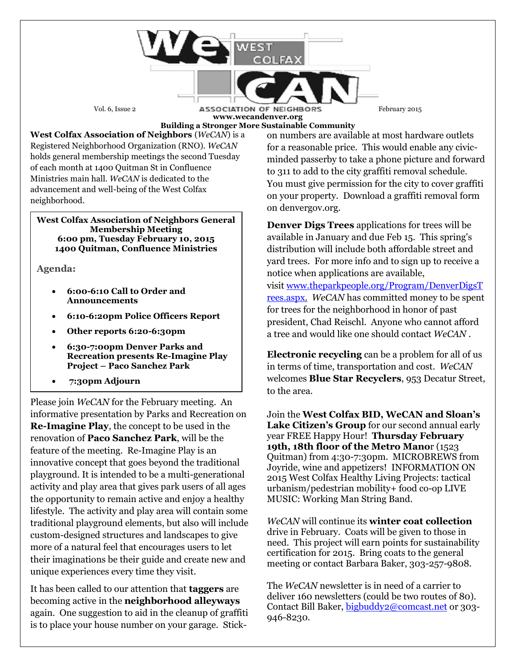Vol. 6, Issue 2 **ASSOCIATION OF NEIGHBORS** February 2015 **www.wecandenver.org** 

**Building a Stronger More Sustainable Community**

**West Colfax Association of Neighbors** (*WeCAN*) is a Registered Neighborhood Organization (RNO). *WeCAN*  holds general membership meetings the second Tuesday of each month at 1400 Quitman St in Confluence Ministries main hall. *WeCAN* is dedicated to the advancement and well-being of the West Colfax neighborhood.

## **West Colfax Association of Neighbors General Membership Meeting 6:00 pm, Tuesday February 10, 2015 1400 Quitman, Confluence Ministries**

**Agenda:**

- **6:00-6:10 Call to Order and Announcements**
- **6:10-6:20pm Police Officers Report**
- **Other reports 6:20-6:30pm**
- **6:30-7:00pm Denver Parks and Recreation presents Re-Imagine Play Project – Paco Sanchez Park**
- **7:30pm Adjourn**

Please join *WeCAN* for the February meeting. An informative presentation by Parks and Recreation on **Re-Imagine Play**, the concept to be used in the renovation of **Paco Sanchez Park**, will be the feature of the meeting. Re-Imagine Play is an innovative concept that goes beyond the traditional playground. It is intended to be a multi-generational activity and play area that gives park users of all ages the opportunity to remain active and enjoy a healthy lifestyle. The activity and play area will contain some traditional playground elements, but also will include custom-designed structures and landscapes to give more of a natural feel that encourages users to let their imaginations be their guide and create new and unique experiences every time they visit.

It has been called to our attention that **taggers** are becoming active in the **neighborhood alleyways** again. One suggestion to aid in the cleanup of graffiti is to place your house number on your garage. Stickon numbers are available at most hardware outlets for a reasonable price. This would enable any civicminded passerby to take a phone picture and forward to 311 to add to the city graffiti removal schedule. You must give permission for the city to cover graffiti on your property. Download a graffiti removal form on denvergov.org.

**Denver Digs Trees** applications for trees will be available in January and due Feb 15. This spring's distribution will include both affordable street and yard trees. For more info and to sign up to receive a notice when applications are available, visit [www.theparkpeople.org/Program/DenverDigsT](http://www.theparkpeople.org/Program/DenverDigsTrees.aspx) [rees.aspx.](http://www.theparkpeople.org/Program/DenverDigsTrees.aspx) *WeCAN* has committed money to be spent for trees for the neighborhood in honor of past president, Chad Reischl. Anyone who cannot afford a tree and would like one should contact *WeCAN* .

**Electronic recycling** can be a problem for all of us in terms of time, transportation and cost. *WeCAN*  welcomes **Blue Star Recyclers**, 953 Decatur Street, to the area.

Join the **West Colfax BID, WeCAN and Sloan's Lake Citizen's Group** for our second annual early year FREE Happy Hour! **Thursday February 19th, 18th floor of the Metro Mano**r (1523 Quitman) from 4:30-7:30pm. MICROBREWS from Joyride, wine and appetizers! INFORMATION ON 2015 West Colfax Healthy Living Projects: tactical urbanism/pedestrian mobility+ food co-op LIVE MUSIC: Working Man String Band.

*WeCAN* will continue its **winter coat collection** drive in February. Coats will be given to those in need. This project will earn points for sustainability certification for 2015. Bring coats to the general meeting or contact Barbara Baker, 303-257-9808.

The *WeCAN* newsletter is in need of a carrier to deliver 160 newsletters (could be two routes of 80). Contact Bill Baker, [bigbuddy2@comcast.net](mailto:bigbuddy2@comcast.net) or 303- 946-8230.